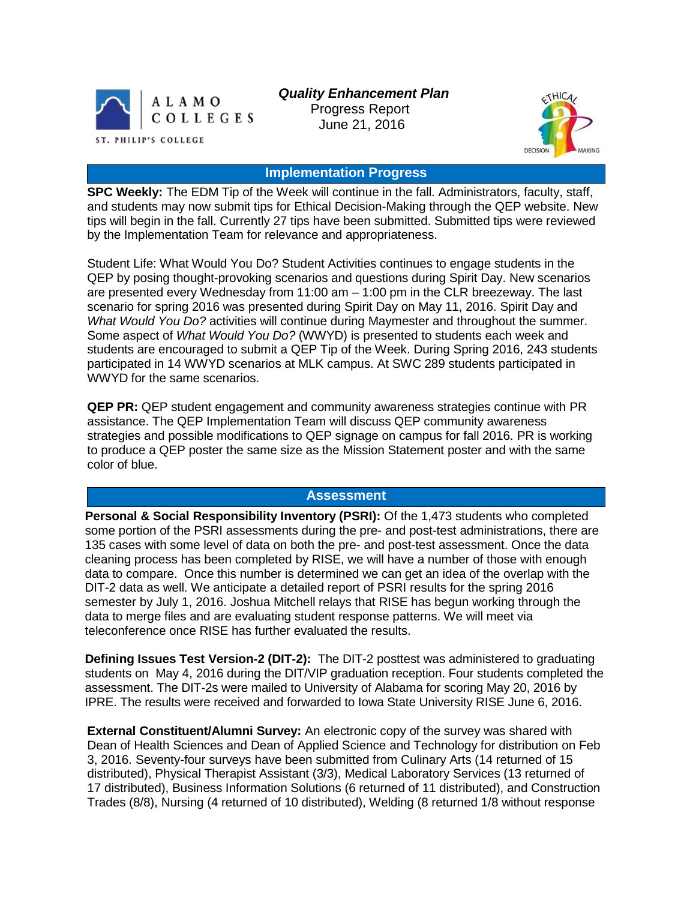

 *Quality Enhancement Plan*

 Progress Report June 21, 2016



# **Implementation Progress**

**SPC Weekly:** The EDM Tip of the Week will continue in the fall. Administrators, faculty, staff, and students may now submit tips for Ethical Decision-Making through the QEP website. New tips will begin in the fall. Currently 27 tips have been submitted. Submitted tips were reviewed by the Implementation Team for relevance and appropriateness.

Student Life: What Would You Do? Student Activities continues to engage students in the QEP by posing thought-provoking scenarios and questions during Spirit Day. New scenarios are presented every Wednesday from 11:00 am – 1:00 pm in the CLR breezeway. The last scenario for spring 2016 was presented during Spirit Day on May 11, 2016. Spirit Day and *What Would You Do?* activities will continue during Maymester and throughout the summer. Some aspect of *What Would You Do?* (WWYD) is presented to students each week and students are encouraged to submit a QEP Tip of the Week. During Spring 2016, 243 students participated in 14 WWYD scenarios at MLK campus. At SWC 289 students participated in WWYD for the same scenarios.

**QEP PR:** QEP student engagement and community awareness strategies continue with PR assistance. The QEP Implementation Team will discuss QEP community awareness strategies and possible modifications to QEP signage on campus for fall 2016. PR is working to produce a QEP poster the same size as the Mission Statement poster and with the same color of blue.

#### **Assessment**

**Personal & Social Responsibility Inventory (PSRI):** Of the 1,473 students who completed some portion of the PSRI assessments during the pre- and post-test administrations, there are 135 cases with some level of data on both the pre- and post-test assessment. Once the data cleaning process has been completed by RISE, we will have a number of those with enough data to compare. Once this number is determined we can get an idea of the overlap with the DIT-2 data as well. We anticipate a detailed report of PSRI results for the spring 2016 semester by July 1, 2016. Joshua Mitchell relays that RISE has begun working through the data to merge files and are evaluating student response patterns. We will meet via teleconference once RISE has further evaluated the results.

**Defining Issues Test Version-2 (DIT-2):** The DIT-2 posttest was administered to graduating students on May 4, 2016 during the DIT/VIP graduation reception. Four students completed the assessment. The DIT-2s were mailed to University of Alabama for scoring May 20, 2016 by IPRE. The results were received and forwarded to Iowa State University RISE June 6, 2016.

**External Constituent/Alumni Survey:** An electronic copy of the survey was shared with Dean of Health Sciences and Dean of Applied Science and Technology for distribution on Feb 3, 2016. Seventy-four surveys have been submitted from Culinary Arts (14 returned of 15 distributed), Physical Therapist Assistant (3/3), Medical Laboratory Services (13 returned of 17 distributed), Business Information Solutions (6 returned of 11 distributed), and Construction Trades (8/8), Nursing (4 returned of 10 distributed), Welding (8 returned 1/8 without response